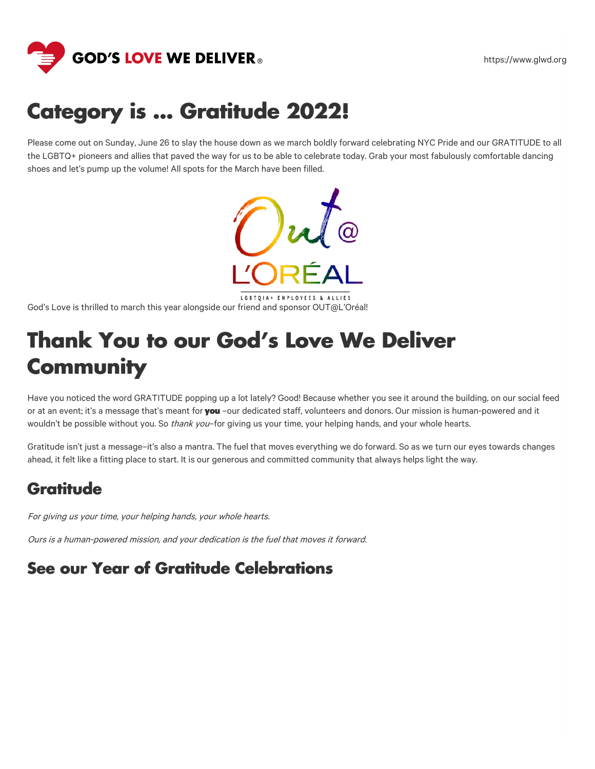

## **Category is … Gratitude 2022!**

Please come out on Sunday, June 26 to slay the house down as we march boldly forward celebrating NYC Pride and our GRATITUDE to all the LGBTQ+ pioneers and allies that paved the way for us to be able to celebrate today. Grab your most fabulously comfortable dancing shoes and let's pump up the volume! All spots for the March have been filled.



## **Thank You to our God's Love We Deliver Community**

Have you noticed the word GRATITUDE popping up a lot lately? Good! Because whether you see it around the building, on our social feed or at an event; it's a message that's meant for **you** –our dedicated staff, volunteers and donors. Our mission is human-powered and it wouldn't be possible without you. So thank you-for giving us your time, your helping hands, and your whole hearts.

Gratitude isn't just a message–it's also a mantra. The fuel that moves everything we do forward. So as we turn our eyes towards changes ahead, it felt like a fitting place to start. It is our generous and committed community that always helps light the way.

#### **Gratitude**

For giving us your time, your helping hands, your whole hearts.

Ours is <sup>a</sup> human-powered mission, and your dedication is the fuel that moves it forward.

### **See our Year of Gratitude Celebrations**